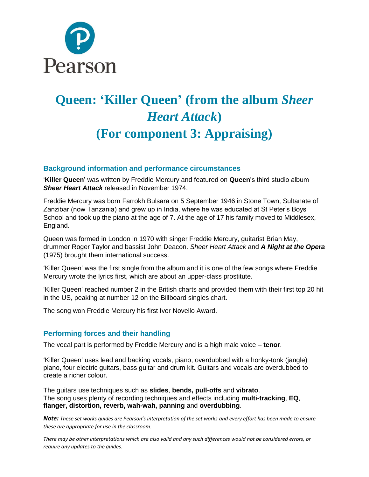

# **Queen: 'Killer Queen' (from the album** *Sheer Heart Attack***) (For component 3: Appraising)**

#### **Background information and performance circumstances**

'**Killer Queen**' was written by Freddie Mercury and featured on **Queen**'s third studio album *Sheer Heart Attack* released in November 1974.

Freddie Mercury was born Farrokh Bulsara on 5 September 1946 in Stone Town, Sultanate of Zanzibar (now Tanzania) and grew up in India, where he was educated at St Peter's Boys School and took up the piano at the age of 7. At the age of 17 his family moved to Middlesex, England.

Queen was formed in London in 1970 with singer Freddie Mercury, guitarist Brian May, drummer Roger Taylor and bassist John Deacon. *Sheer Heart Attack* and *A Night at the Opera* (1975) brought them international success.

'Killer Queen' was the first single from the album and it is one of the few songs where Freddie Mercury wrote the lyrics first, which are about an upper-class prostitute.

'Killer Queen' reached number 2 in the British charts and provided them with their first top 20 hit in the US, peaking at number 12 on the Billboard singles chart.

The song won Freddie Mercury his first Ivor Novello Award.

#### **Performing forces and their handling**

The vocal part is performed by Freddie Mercury and is a high male voice – **tenor**.

'Killer Queen' uses lead and backing vocals, piano, overdubbed with a honky-tonk (jangle) piano, four electric guitars, bass guitar and drum kit. Guitars and vocals are overdubbed to create a richer colour.

The guitars use techniques such as **slides**, **bends, pull-offs** and **vibrato**. The song uses plenty of recording techniques and effects including **multi-tracking**, **EQ**, **flanger, distortion, reverb, wah-wah, panning** and **overdubbing**.

*Note: These set works guides are Pearson's interpretation of the set works and every effort has been made to ensure these are appropriate for use in the classroom.*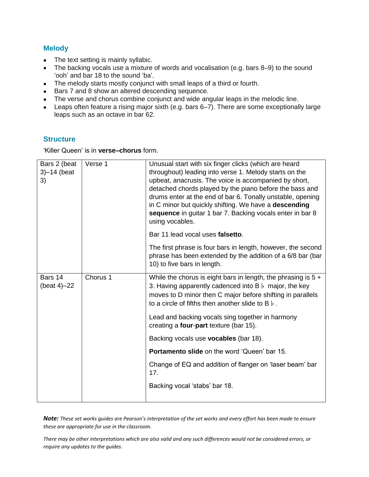#### **Melody**

- The text setting is mainly syllabic.
- The backing vocals use a mixture of words and vocalisation (e.g. bars 8-9) to the sound 'ooh' and bar 18 to the sound 'ba'.
- The melody starts mostly conjunct with small leaps of a third or fourth.
- Bars 7 and 8 show an altered descending sequence.
- The verse and chorus combine conjunct and wide angular leaps in the melodic line.
- Leaps often feature a rising major sixth (e.g. bars 6–7). There are some exceptionally large leaps such as an octave in bar 62.

#### **Structure**

'Killer Queen' is in **verse–chorus** form.

| Bars 2 (beat<br>$3)-14$ (beat<br>3) | Verse 1  | Unusual start with six finger clicks (which are heard<br>throughout) leading into verse 1. Melody starts on the<br>upbeat, anacrusis. The voice is accompanied by short,<br>detached chords played by the piano before the bass and<br>drums enter at the end of bar 6. Tonally unstable, opening<br>in C minor but quickly shifting. We have a descending<br>sequence in guitar 1 bar 7. Backing vocals enter in bar 8<br>using vocables. |
|-------------------------------------|----------|--------------------------------------------------------------------------------------------------------------------------------------------------------------------------------------------------------------------------------------------------------------------------------------------------------------------------------------------------------------------------------------------------------------------------------------------|
|                                     |          | Bar 11 lead vocal uses falsetto.                                                                                                                                                                                                                                                                                                                                                                                                           |
|                                     |          | The first phrase is four bars in length, however, the second<br>phrase has been extended by the addition of a 6/8 bar (bar<br>10) to five bars in length.                                                                                                                                                                                                                                                                                  |
| Bars 14<br>(beat $4$ ) $-22$        | Chorus 1 | While the chorus is eight bars in length, the phrasing is $5 +$<br>3. Having apparently cadenced into $B \, \flat$ major, the key<br>moves to D minor then C major before shifting in parallels<br>to a circle of fifths then another slide to B $\flat$ .                                                                                                                                                                                 |
|                                     |          | Lead and backing vocals sing together in harmony<br>creating a four-part texture (bar 15).                                                                                                                                                                                                                                                                                                                                                 |
|                                     |          | Backing vocals use <b>vocables</b> (bar 18).                                                                                                                                                                                                                                                                                                                                                                                               |
|                                     |          | <b>Portamento slide on the word 'Queen' bar 15.</b>                                                                                                                                                                                                                                                                                                                                                                                        |
|                                     |          | Change of EQ and addition of flanger on 'laser beam' bar<br>17.                                                                                                                                                                                                                                                                                                                                                                            |
|                                     |          | Backing vocal 'stabs' bar 18.                                                                                                                                                                                                                                                                                                                                                                                                              |
|                                     |          |                                                                                                                                                                                                                                                                                                                                                                                                                                            |

*Note: These set works guides are Pearson's interpretation of the set works and every effort has been made to ensure these are appropriate for use in the classroom.*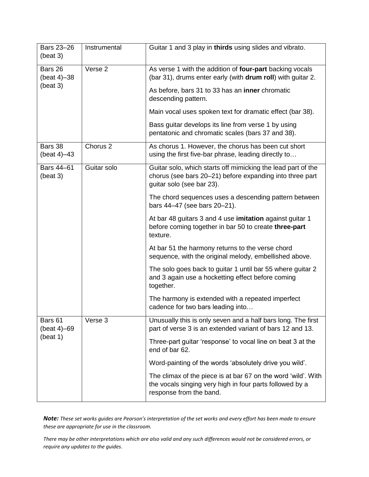| Bars 23-26<br>(beat 3)             | Instrumental        | Guitar 1 and 3 play in thirds using slides and vibrato.                                                                                               |
|------------------------------------|---------------------|-------------------------------------------------------------------------------------------------------------------------------------------------------|
| Bars 26<br>(beat 4)-38<br>(beat 3) | Verse 2             | As verse 1 with the addition of four-part backing vocals<br>(bar 31), drums enter early (with drum roll) with quitar 2.                               |
|                                    |                     | As before, bars 31 to 33 has an inner chromatic<br>descending pattern.                                                                                |
|                                    |                     | Main vocal uses spoken text for dramatic effect (bar 38).                                                                                             |
|                                    |                     | Bass guitar develops its line from verse 1 by using<br>pentatonic and chromatic scales (bars 37 and 38).                                              |
| Bars 38<br>(beat 4)-43             | Chorus <sub>2</sub> | As chorus 1. However, the chorus has been cut short<br>using the first five-bar phrase, leading directly to                                           |
| Bars 44-61<br>(beat 3)             | Guitar solo         | Guitar solo, which starts off mimicking the lead part of the<br>chorus (see bars 20-21) before expanding into three part<br>guitar solo (see bar 23). |
|                                    |                     | The chord sequences uses a descending pattern between<br>bars 44-47 (see bars 20-21).                                                                 |
|                                    |                     | At bar 48 guitars 3 and 4 use imitation against guitar 1<br>before coming together in bar 50 to create three-part<br>texture.                         |
|                                    |                     | At bar 51 the harmony returns to the verse chord<br>sequence, with the original melody, embellished above.                                            |
|                                    |                     | The solo goes back to guitar 1 until bar 55 where guitar 2<br>and 3 again use a hocketting effect before coming<br>together.                          |
|                                    |                     | The harmony is extended with a repeated imperfect<br>cadence for two bars leading into                                                                |
| Bars 61<br>(beat 4)–69<br>(beat 1) | Verse 3             | Unusually this is only seven and a half bars long. The first<br>part of verse 3 is an extended variant of bars 12 and 13.                             |
|                                    |                     | Three-part guitar 'response' to vocal line on beat 3 at the<br>end of bar 62.                                                                         |
|                                    |                     | Word-painting of the words 'absolutely drive you wild'.                                                                                               |
|                                    |                     | The climax of the piece is at bar 67 on the word 'wild'. With<br>the vocals singing very high in four parts followed by a<br>response from the band.  |

*Note: These set works guides are Pearson's interpretation of the set works and every effort has been made to ensure these are appropriate for use in the classroom.*